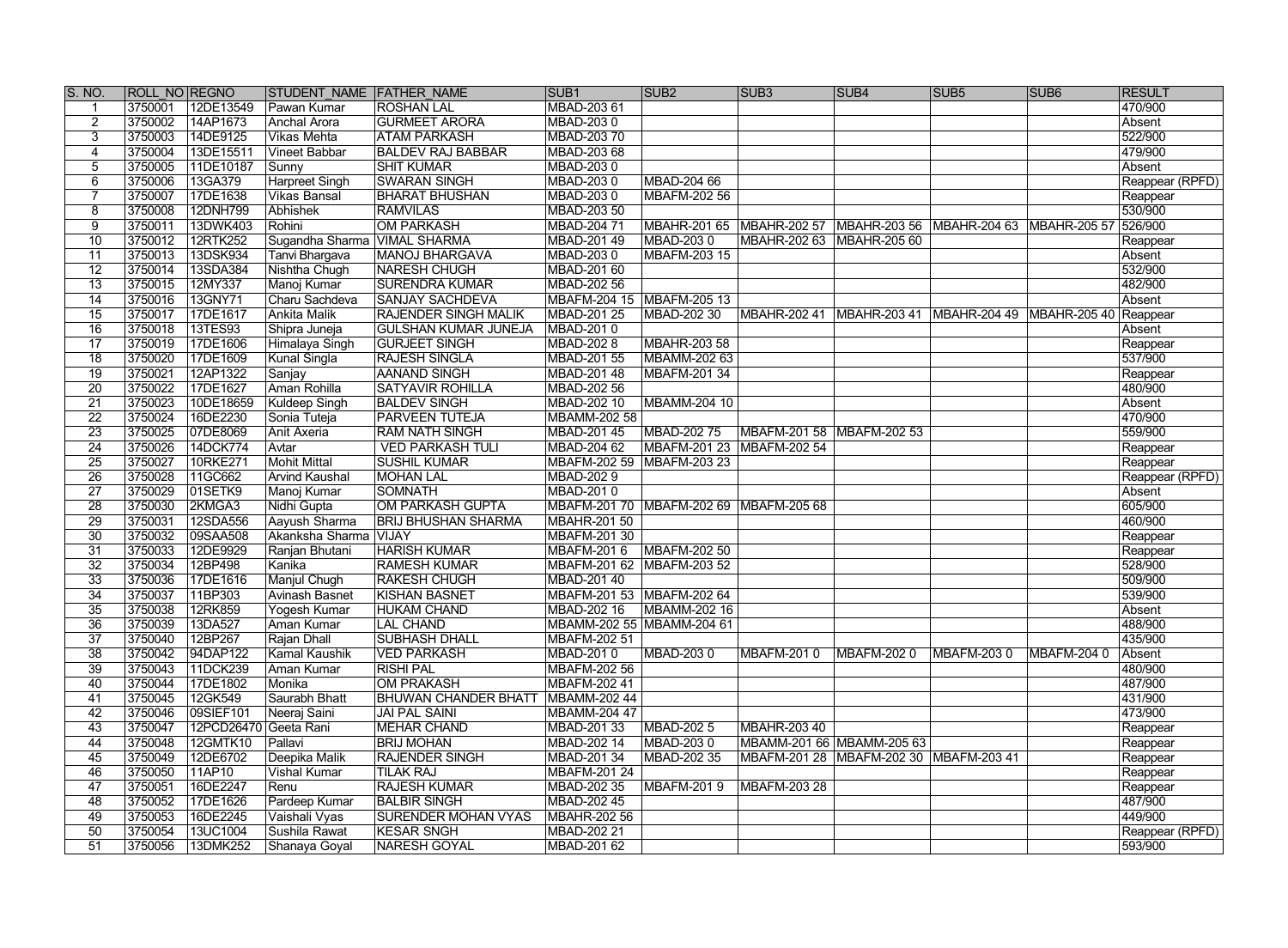| S. NO.          | <b>ROLL NO REGNO</b> |            | STUDENT NAME FATHER NAME     |                             | SUB <sub>1</sub>          | SUB <sub>2</sub>                       | SUB <sub>3</sub>                                                         | SUB4                                                  | SUB <sub>5</sub> | SUB <sub>6</sub> | <b>RESULT</b>   |
|-----------------|----------------------|------------|------------------------------|-----------------------------|---------------------------|----------------------------------------|--------------------------------------------------------------------------|-------------------------------------------------------|------------------|------------------|-----------------|
|                 | 3750001              | 12DE13549  | Pawan Kumar                  | <b>ROSHAN LAL</b>           | MBAD-203 61               |                                        |                                                                          |                                                       |                  |                  | 470/900         |
| $\overline{2}$  | 3750002              | 14AP1673   | Anchal Arora                 | <b>GURMEET ARORA</b>        | MBAD-2030                 |                                        |                                                                          |                                                       |                  |                  | Absent          |
| 3               | 3750003              | 14DE9125   | Vikas Mehta                  | <b>ATAM PARKASH</b>         | MBAD-203 70               |                                        |                                                                          |                                                       |                  |                  | 522/900         |
| 4               | 3750004              | 13DE15511  | Vineet Babbar                | <b>BALDEV RAJ BABBAR</b>    | MBAD-203 68               |                                        |                                                                          |                                                       |                  |                  | 479/900         |
| $5\overline{)}$ | 3750005              | 11DE10187  | Sunny                        | <b>SHIT KUMAR</b>           | MBAD-2030                 |                                        |                                                                          |                                                       |                  |                  | Absent          |
| 6               | 3750006              | 13GA379    | <b>Harpreet Singh</b>        | <b>SWARAN SINGH</b>         | MBAD-2030                 | MBAD-204 66                            |                                                                          |                                                       |                  |                  | Reappear (RPFD) |
|                 | 3750007              | 17DE1638   | Vikas Bansal                 | <b>BHARAT BHUSHAN</b>       | MBAD-2030                 | MBAFM-202 56                           |                                                                          |                                                       |                  |                  | Reappear        |
| 8               | 3750008              | 12DNH799   | Abhishek                     | <b>RAMVILAS</b>             | MBAD-203 50               |                                        |                                                                          |                                                       |                  |                  | 530/900         |
| 9               | 3750011              | 13DWK403   | Rohini                       | <b>OM PARKASH</b>           | MBAD-204 71               |                                        | MBAHR-201 65 MBAHR-202 57 MBAHR-203 56 MBAHR-204 63 MBAHR-205 57 526/900 |                                                       |                  |                  |                 |
| 10              | 3750012              | 12RTK252   | Sugandha Sharma VIMAL SHARMA |                             | MBAD-201 49               | MBAD-2030                              | MBAHR-202 63 MBAHR-205 60                                                |                                                       |                  |                  | Reappear        |
| $\overline{11}$ | 3750013              | 13DSK934   | Tanvi Bhargava               | MANOJ BHARGAVA              | MBAD-203 0                | MBAFM-203 15                           |                                                                          |                                                       |                  |                  | Absent          |
| $\overline{12}$ | 3750014              | 13SDA384   | Nishtha Chugh                | <b>NARESH CHUGH</b>         | MBAD-201 60               |                                        |                                                                          |                                                       |                  |                  | 532/900         |
| $\overline{13}$ | 3750015              | 12MY337    | Manoj Kumar                  | <b>SURENDRA KUMAR</b>       | MBAD-202 56               |                                        |                                                                          |                                                       |                  |                  | 482/900         |
| $\overline{14}$ | 3750016              | 13GNY71    | Charu Sachdeva               | <b>SANJAY SACHDEVA</b>      | MBAFM-204 15 MBAFM-205 13 |                                        |                                                                          |                                                       |                  |                  | Absent          |
| $\overline{15}$ | 3750017              | 17DE1617   | Ankita Malik                 | <b>RAJENDER SINGH MALIK</b> | MBAD-201 25               | MBAD-202 30                            | MBAHR-202 41                                                             | MBAHR-203 41   MBAHR-204 49   MBAHR-205 40   Reappear |                  |                  |                 |
| 16              | 3750018              | 13TES93    | Shipra Juneja                | <b>GULSHAN KUMAR JUNEJA</b> | MBAD-2010                 |                                        |                                                                          |                                                       |                  |                  | Absent          |
| 17              | 3750019              | 17DE1606   | Himalaya Singh               | <b>GURJEET SINGH</b>        | MBAD-202 8                | MBAHR-203 58                           |                                                                          |                                                       |                  |                  | Reappear        |
| $\overline{18}$ | 3750020              | 17DE1609   | Kunal Singla                 | <b>RAJESH SINGLA</b>        | MBAD-201 55               | MBAMM-202 63                           |                                                                          |                                                       |                  |                  | 537/900         |
| $\overline{19}$ | 3750021              | 12AP1322   | Sanjay                       | <b>AANAND SINGH</b>         | MBAD-201 48               | MBAFM-201 34                           |                                                                          |                                                       |                  |                  | Reappear        |
| 20              | 3750022              | 17DE1627   | Aman Rohilla                 | SATYAVIR ROHILLA            | MBAD-202 56               |                                        |                                                                          |                                                       |                  |                  | 480/900         |
| $\overline{21}$ | 3750023              | 10DE18659  | Kuldeep Singh                | <b>BALDEV SINGH</b>         | MBAD-202 10               | MBAMM-204 10                           |                                                                          |                                                       |                  |                  | Absent          |
| $\overline{22}$ | 3750024              | 16DE2230   | Sonia Tuteja                 | <b>PARVEEN TUTEJA</b>       | MBAMM-202 58              |                                        |                                                                          |                                                       |                  |                  | 470/900         |
| $\overline{23}$ | 3750025              | 07DE8069   | Anit Axeria                  | <b>RAM NATH SINGH</b>       | MBAD-201 45               | MBAD-202 75                            | MBAFM-201 58 MBAFM-202 53                                                |                                                       |                  |                  | 559/900         |
| 24              | 3750026              | 14DCK774   | Avtar                        | <b>VED PARKASH TULI</b>     | MBAD-204 62               | MBAFM-201 23                           | MBAFM-202 54                                                             |                                                       |                  |                  | Reappear        |
| $\overline{25}$ | 3750027              | 10RKE271   | Mohit Mittal                 | <b>SUSHIL KUMAR</b>         | MBAFM-202 59 MBAFM-203 23 |                                        |                                                                          |                                                       |                  |                  | Reappear        |
| $\overline{26}$ | 3750028              | 11GC662    | Arvind Kaushal               | MOHAN LAL                   | MBAD-202 9                |                                        |                                                                          |                                                       |                  |                  | Reappear (RPFD) |
| $\overline{27}$ | 3750029              | 01SETK9    | Manoj Kumar                  | <b>SOMNATH</b>              | MBAD-2010                 |                                        |                                                                          |                                                       |                  |                  | Absent          |
| $\overline{28}$ | 3750030              | 2KMGA3     | Nidhi Gupta                  | <b>OM PARKASH GUPTA</b>     |                           | MBAFM-201 70 MBAFM-202 69 MBAFM-205 68 |                                                                          |                                                       |                  |                  | 605/900         |
| 29              | 3750031              | 12SDA556   | Aayush Sharma                | <b>BRIJ BHUSHAN SHARMA</b>  | MBAHR-201 50              |                                        |                                                                          |                                                       |                  |                  | 460/900         |
| $\overline{30}$ | 3750032              | 09SAA508   | Akanksha Sharma VIJAY        |                             | MBAFM-201 30              |                                        |                                                                          |                                                       |                  |                  | Reappear        |
| $\overline{31}$ | 3750033              | 12DE9929   | Ranjan Bhutani               | <b>HARISH KUMAR</b>         | MBAFM-2016                | MBAFM-202 50                           |                                                                          |                                                       |                  |                  | Reappear        |
| $\overline{32}$ | 3750034              | 12BP498    | Kanika                       | <b>RAMESH KUMAR</b>         | MBAFM-201 62 MBAFM-203 52 |                                        |                                                                          |                                                       |                  |                  | 528/900         |
| $\overline{33}$ | 3750036              | 17DE1616   | Manjul Chugh                 | <b>RAKESH CHUGH</b>         | MBAD-201 40               |                                        |                                                                          |                                                       |                  |                  | 509/900         |
| 34              | 3750037              | 11BP303    | Avinash Basnet               | <b>KISHAN BASNET</b>        |                           | MBAFM-201 53   MBAFM-202 64            |                                                                          |                                                       |                  |                  | 539/900         |
| $\overline{35}$ | 3750038              | 12RK859    |                              | <b>HUKAM CHAND</b>          | MBAD-202 16               | MBAMM-202 16                           |                                                                          |                                                       |                  |                  | Absent          |
| $\overline{36}$ | 3750039 13DA527      |            | Yogesh Kumar<br>Aman Kumar   | LAL CHAND                   |                           | MBAMM-202 55 MBAMM-204 61              |                                                                          |                                                       |                  |                  | 488/900         |
| $\overline{37}$ | 3750040              | 12BP267    |                              | <b>SUBHASH DHALL</b>        | MBAFM-202 51              |                                        |                                                                          |                                                       |                  |                  | 435/900         |
| 38              | 3750042              | 94DAP122   | Rajan Dhall<br>Kamal Kaushik | <b>VED PARKASH</b>          | MBAD-2010                 | MBAD-2030                              | MBAFM-2010                                                               | MBAFM-202 0                                           | MBAFM-2030       | MBAFM-204 0      | Absent          |
|                 |                      |            |                              | <b>RISHI PAL</b>            |                           |                                        |                                                                          |                                                       |                  |                  |                 |
| 39              | 3750043              | 11DCK239   | Aman Kumar                   |                             | MBAFM-202 56              |                                        |                                                                          |                                                       |                  |                  | 480/900         |
| 40              | 3750044              | 17DE1802   | Monika                       | OM PRAKASH                  | MBAFM-202 41              |                                        |                                                                          |                                                       |                  |                  | 487/900         |
| 41              | 3750045              | 12GK549    | Saurabh Bhatt                | <b>BHUWAN CHANDER BHATT</b> | MBAMM-202 44              |                                        |                                                                          |                                                       |                  |                  | 431/900         |
| 42              | 3750046              | 09SIEF101  | Neeraj Saini                 | <b>JAI PAL SAINI</b>        | MBAMM-204 47              |                                        |                                                                          |                                                       |                  |                  | 473/900         |
| 43              | 3750047              | 12PCD26470 | Geeta Rani                   | MEHAR CHAND                 | MBAD-201 33               | <b>MBAD-202 5</b>                      | MBAHR-203 40                                                             |                                                       |                  |                  | Reappear        |
| 44              | 3750048              | 12GMTK10   | Pallavi                      | <b>BRIJ MOHAN</b>           | MBAD-202 14               | MBAD-2030                              | MBAMM-201 66 MBAMM-205 63                                                |                                                       |                  |                  | Reappear        |
| 45              | 3750049              | 12DE6702   | Deepika Malik                | <b>RAJENDER SINGH</b>       | MBAD-201 34               | MBAD-202 35                            |                                                                          | MBAFM-201 28   MBAFM-202 30   MBAFM-203 41            |                  |                  | Reappear        |
| 46              | 3750050              | 11AP10     | <b>Vishal Kumar</b>          | <b>TILAK RAJ</b>            | MBAFM-201 24              |                                        |                                                                          |                                                       |                  |                  | Reappear        |
| 47              | 3750051              | 16DE2247   | Renu                         | <b>RAJESH KUMAR</b>         | MBAD-202 35               | MBAFM-2019                             | MBAFM-203 28                                                             |                                                       |                  |                  | Reappear        |
| 48              | 3750052              | 17DE1626   | Pardeep Kumar                | <b>BALBIR SINGH</b>         | MBAD-202 45               |                                        |                                                                          |                                                       |                  |                  | 487/900         |
| 49              | 3750053              | 16DE2245   | Vaishali Vyas                | <b>SURENDER MOHAN VYAS</b>  | MBAHR-202 56              |                                        |                                                                          |                                                       |                  |                  | 449/900         |
| 50              | 3750054              | 13UC1004   | Sushila Rawat                | <b>KESAR SNGH</b>           | MBAD-202 21               |                                        |                                                                          |                                                       |                  |                  | Reappear (RPFD) |
| 51              | 3750056              | 13DMK252   | Shanaya Goyal                | <b>NARESH GOYAL</b>         | MBAD-201 62               |                                        |                                                                          |                                                       |                  |                  | 593/900         |